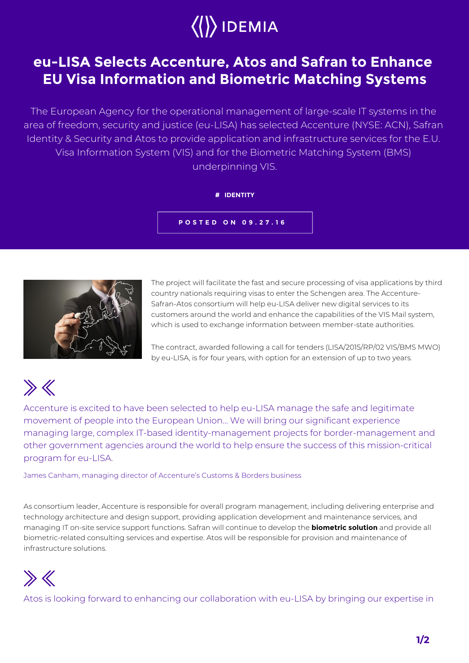

## **eu-LISA Selects Accenture, Atos and Safran to Enhance EU Visa Information and Biometric Matching Systems**

The European Agency for the operational management of large-scale IT systems in the area of freedom, security and justice (eu-LISA) has selected Accenture (NYSE: ACN), Safran Identity & Security and Atos to provide application and infrastructure services for the E.U. Visa Information System (VIS) and for the Biometric Matching System (BMS) underpinning VIS.

## **# IDENTITY**

**POSTED ON 09.27.16**



The project will facilitate the fast and secure processing of visa applications by third country nationals requiring visas to enter the Schengen area. The Accenture-Safran-Atos consortium will help eu-LISA deliver new digital services to its customers around the world and enhance the capabilities of the VIS Mail system, which is used to exchange information between member-state authorities.

The contract, awarded following a call for tenders (LISA/2015/RP/02 VIS/BMS MWO) by eu-LISA, is for four years, with option for an extension of up to two years.



Accenture is excited to have been selected to help eu-LISA manage the safe and legitimate movement of people into the European Union… We will bring our significant experience managing large, complex IT-based identity-management projects for border-management and other government agencies around the world to help ensure the success of this mission-critical program for eu-LISA.

James Canham, managing director of Accenture's Customs & Borders business

As consortium leader, Accenture is responsible for overall program management, including delivering enterprise and technology architecture and design support, providing application development and maintenance services, and managing IT on-site service support functions. Safran will continue to develop the **biometric solution** and provide all biometric-related consulting services and expertise. Atos will be responsible for provision and maintenance of infrastructure solutions.



Atos is looking forward to enhancing our collaboration with eu-LISA by bringing our expertise in